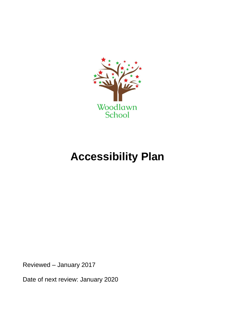

# **Accessibility Plan**

Reviewed – January 2017

Date of next review: January 2020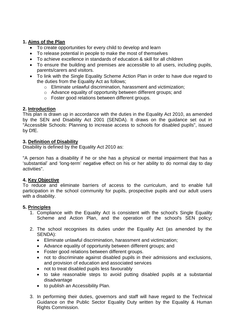## **1. Aims of the Plan**

- To create opportunities for every child to develop and learn
- To release potential in people to make the most of themselves
- To achieve excellence in standards of education & skill for all children
- To ensure the building and premises are accessible to all users, including pupils, parents/carers and visitors.
- To link with the Single Equality Scheme Action Plan in order to have due regard to the duties from the Equality Act as follows;
	- o Eliminate unlawful discrimination, harassment and victimization;
	- o Advance equality of opportunity between different groups; and
	- o Foster good relations between different groups.

# **2. Introduction**

This plan is drawn up in accordance with the duties in the Equality Act 2010, as amended by the SEN and Disability Act 2001 (SENDA). It draws on the guidance set out in "Accessible Schools: Planning to increase access to schools for disabled pupils", issued by DfE.

## **3. Definition of Disability**

Disability is defined by the Equality Act 2010 as:

"A person has a disability if he or she has a physical or mental impairment that has a 'substantial' and 'long-term' negative effect on his or her ability to do normal day to day activities".

## **4. Key Objective**

To reduce and eliminate barriers of access to the curriculum, and to enable full participation in the school community for pupils, prospective pupils and our adult users with a disability.

## **5. Principles**

- 1. Compliance with the Equality Act is consistent with the school's Single Equality Scheme and Action Plan, and the operation of the school's SEN policy;
- 2. The school recognises its duties under the Equality Act (as amended by the SENDA):
	- Eliminate unlawful discrimination, harassment and victimization;
	- Advance equality of opportunity between different groups; and
	- Foster good relations between different groups.
	- not to discriminate against disabled pupils in their admissions and exclusions, and provision of education and associated services
	- not to treat disabled pupils less favourably
	- to take reasonable steps to avoid putting disabled pupils at a substantial disadvantage
	- to publish an Accessibility Plan.
- 3. In performing their duties, governors and staff will have regard to the Technical Guidance on the Public Sector Equality Duty written by the Equality & Human Rights Commission.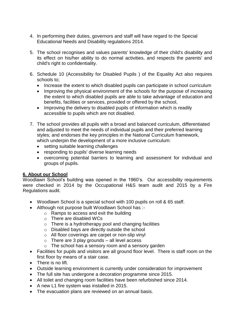- 4. In performing their duties, governors and staff will have regard to the Special Educational Needs and Disability regulations 2014.
- 5. The school recognises and values parents' knowledge of their child's disability and its effect on his/her ability to do normal activities, and respects the parents' and child's right to confidentiality.
- 6. Schedule 10 (Accessibility for Disabled Pupils ) of the Equality Act also requires schools to;
	- Increase the extent to which disabled pupils can participate in school curriculum
	- Improving the physical environment of the schools for the purpose of increasing the extent to which disabled pupils are able to take advantage of education and benefits, facilities or services, provided or offered by the school,
	- Improving the delivery to disabled pupils of information which is readily accessible to pupils which are not disabled.
- 7. The school provides all pupils with a broad and balanced curriculum, differentiated and adjusted to meet the needs of individual pupils and their preferred learning styles; and endorses the key principles in the National Curriculum framework, which underpin the development of a more inclusive curriculum:
	- setting suitable learning challenges
	- responding to pupils' diverse learning needs
	- overcoming potential barriers to learning and assessment for individual and groups of pupils.

#### **6. About our School**

Woodlawn School's building was opened in the 1960's. Our accessibility requirements were checked in 2014 by the Occupational H&S team audit and 2015 by a Fire Regulations audit.

- Woodlawn School is a special school with 100 pupils on roll & 65 staff.
- Although not purpose built Woodlawn School has :
	- o Ramps to access and exit the building
	- o There are disabled WCs
	- o There is a hydrotherapy pool and changing facilities
	- o Disabled bays are directly outside the school
	- o All floor coverings are carpet or non-slip vinyl
	- $\circ$  There are 3 play grounds all level access
	- o The school has a sensory room and a sensory garden
- Facilities for pupils and visitors are all ground floor level. There is staff room on the first floor by means of a stair case.
- There is no lift.
- Outside learning environment is currently under consideration for improvement
- The full site has undergone a decoration programme since 2015.
- All toilet and changing room facilities have been refurbished since 2014.
- A new L1 fire system was installed in 2015.
- The evacuation plans are reviewed on an annual basis.